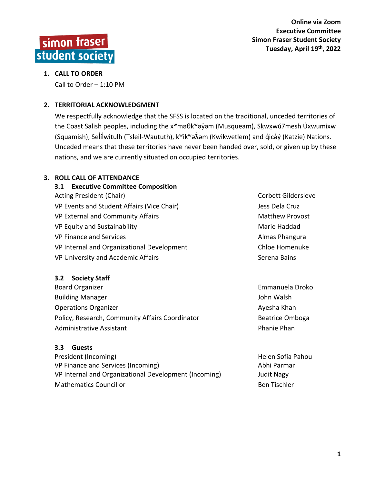

# **1. CALL TO ORDER**

Call to Order – 1:10 PM

# **2. TERRITORIAL ACKNOWLEDGMENT**

We respectfully acknowledge that the SFSS is located on the traditional, unceded territories of the Coast Salish peoples, including the x<sup>w</sup>məθk<sup>w</sup>əy̓əm (Musqueam), Skૄwxwú7mesh Úxwumixw (Squamish), Selí̓lwitulh (Tsleil ̓ -Waututh), kʷikʷəƛ̓əm (Kwikwetlem) and q̓icə̓y̓(Katzie) Nations. Unceded means that these territories have never been handed over, sold, or given up by these nations, and we are currently situated on occupied territories.

# **3. ROLL CALL OF ATTENDANCE**

| 3.1 Executive Committee Composition        |                        |
|--------------------------------------------|------------------------|
| Acting President (Chair)                   | Corbett Gildersleve    |
| VP Events and Student Affairs (Vice Chair) | Jess Dela Cruz         |
| VP External and Community Affairs          | <b>Matthew Provost</b> |
| VP Equity and Sustainability               | Marie Haddad           |
| <b>VP Finance and Services</b>             | Almas Phangura         |
| VP Internal and Organizational Development | Chloe Homenuke         |
| VP University and Academic Affairs         | Serena Bains           |
|                                            |                        |

#### **3.2 Society Staff**

Board Organizer **Emmanuela Droko** Building Manager **John Walsh** Operations Organizer Ayes and Ayesha Khan Policy, Research, Community Affairs Coordinator **Beatrice Omboga** Administrative Assistant **Phanie Phanie Phanie Phanie Phanie Phanie** Phanie Phanie Phanie Phanie Phanie Phanie Phanie Phanie Phanie Phanie Phanie Phanie Phanie Phanie Phanie Phanie Phanie Phanie Phanie Phanie Phanie Phanie

# **3.3 Guests**

President (Incoming) The Communication of the Communication of the Helen Sofia Pahou VP Finance and Services (Incoming) and the state of the Abhi Parmar VP Internal and Organizational Development (Incoming) Judit Nagy Mathematics Councillor **Ben Tischler** Ben Tischler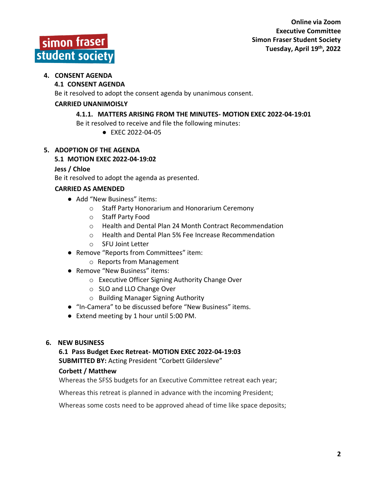# simon fraser student society

# **4. CONSENT AGENDA**

# **4.1 CONSENT AGENDA**

Be it resolved to adopt the consent agenda by unanimous consent.

# **CARRIED UNANIMOISLY**

# **4.1.1. MATTERS ARISING FROM THE MINUTES- MOTION EXEC 2022-04-19:01**

Be it resolved to receive and file the following minutes:

● EXEC 2022-04-05

# **5. ADOPTION OF THE AGENDA**

# **5.1 MOTION EXEC 2022-04-19:02**

# **Jess / Chloe**

Be it resolved to adopt the agenda as presented.

# **CARRIED AS AMENDED**

- Add "New Business" items:
	- o Staff Party Honorarium and Honorarium Ceremony
	- o Staff Party Food
	- o Health and Dental Plan 24 Month Contract Recommendation
	- o Health and Dental Plan 5% Fee Increase Recommendation
	- o SFU Joint Letter
- Remove "Reports from Committees" item:
	- o Reports from Management
- Remove "New Business" items:
	- o Executive Officer Signing Authority Change Over
	- o SLO and LLO Change Over
	- o Building Manager Signing Authority
- "In-Camera" to be discussed before "New Business" items.
- Extend meeting by 1 hour until 5:00 PM.

# **6. NEW BUSINESS**

# **6.1 Pass Budget Exec Retreat- MOTION EXEC 2022-04-19:03**

**SUBMITTED BY:** Acting President "Corbett Gildersleve"

# **Corbett / Matthew**

Whereas the SFSS budgets for an Executive Committee retreat each year;

Whereas this retreat is planned in advance with the incoming President;

Whereas some costs need to be approved ahead of time like space deposits;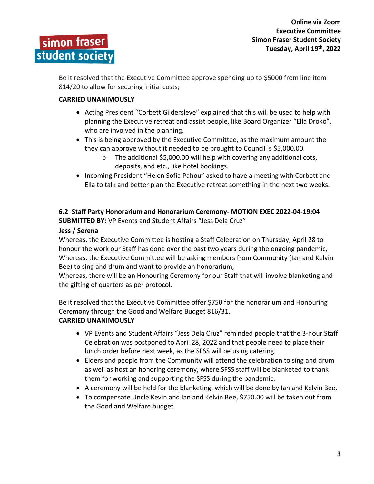Be it resolved that the Executive Committee approve spending up to \$5000 from line item 814/20 to allow for securing initial costs;

# **CARRIED UNANIMOUSLY**

- Acting President "Corbett Gildersleve" explained that this will be used to help with planning the Executive retreat and assist people, like Board Organizer "Ella Droko", who are involved in the planning.
- This is being approved by the Executive Committee, as the maximum amount the they can approve without it needed to be brought to Council is \$5,000.00.
	- $\circ$  The additional \$5,000.00 will help with covering any additional cots, deposits, and etc., like hotel bookings.
- Incoming President "Helen Sofia Pahou" asked to have a meeting with Corbett and Ella to talk and better plan the Executive retreat something in the next two weeks.

#### **6.2 Staff Party Honorarium and Honorarium Ceremony- MOTION EXEC 2022-04-19:04 SUBMITTED BY:** VP Events and Student Affairs "Jess Dela Cruz"

# **Jess / Serena**

Whereas, the Executive Committee is hosting a Staff Celebration on Thursday, April 28 to honour the work our Staff has done over the past two years during the ongoing pandemic, Whereas, the Executive Committee will be asking members from Community (Ian and Kelvin Bee) to sing and drum and want to provide an honorarium,

Whereas, there will be an Honouring Ceremony for our Staff that will involve blanketing and the gifting of quarters as per protocol,

Be it resolved that the Executive Committee offer \$750 for the honorarium and Honouring Ceremony through the Good and Welfare Budget 816/31.

# **CARRIED UNANIMOUSLY**

- VP Events and Student Affairs "Jess Dela Cruz" reminded people that the 3-hour Staff Celebration was postponed to April 28, 2022 and that people need to place their lunch order before next week, as the SFSS will be using catering.
- Elders and people from the Community will attend the celebration to sing and drum as well as host an honoring ceremony, where SFSS staff will be blanketed to thank them for working and supporting the SFSS during the pandemic.
- A ceremony will be held for the blanketing, which will be done by Ian and Kelvin Bee.
- To compensate Uncle Kevin and Ian and Kelvin Bee, \$750.00 will be taken out from the Good and Welfare budget.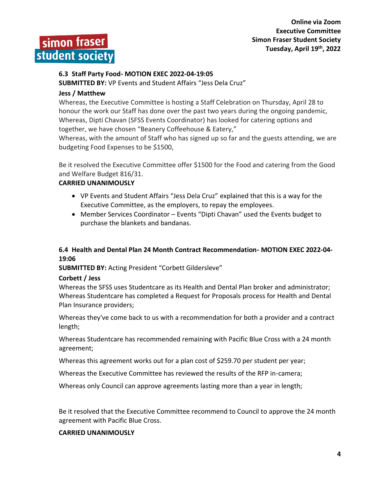simon fraser student society

**Online via Zoom Executive Committee Simon Fraser Student Society Tuesday, April 19th , 2022**

#### **6.3 Staff Party Food- MOTION EXEC 2022-04-19:05**

**SUBMITTED BY:** VP Events and Student Affairs "Jess Dela Cruz"

#### **Jess / Matthew**

Whereas, the Executive Committee is hosting a Staff Celebration on Thursday, April 28 to honour the work our Staff has done over the past two years during the ongoing pandemic, Whereas, Dipti Chavan (SFSS Events Coordinator) has looked for catering options and together, we have chosen "Beanery Coffeehouse & Eatery,"

Whereas, with the amount of Staff who has signed up so far and the guests attending, we are budgeting Food Expenses to be \$1500,

Be it resolved the Executive Committee offer \$1500 for the Food and catering from the Good and Welfare Budget 816/31.

#### **CARRIED UNANIMOUSLY**

- VP Events and Student Affairs "Jess Dela Cruz" explained that this is a way for the Executive Committee, as the employers, to repay the employees.
- Member Services Coordinator Events "Dipti Chavan" used the Events budget to purchase the blankets and bandanas.

#### **6.4 Health and Dental Plan 24 Month Contract Recommendation- MOTION EXEC 2022-04- 19:06**

#### **SUBMITTED BY:** Acting President "Corbett Gildersleve"

#### **Corbett / Jess**

Whereas the SFSS uses Studentcare as its Health and Dental Plan broker and administrator; Whereas Studentcare has completed a Request for Proposals process for Health and Dental Plan Insurance providers;

Whereas they've come back to us with a recommendation for both a provider and a contract length;

Whereas Studentcare has recommended remaining with Pacific Blue Cross with a 24 month agreement;

Whereas this agreement works out for a plan cost of \$259.70 per student per year;

Whereas the Executive Committee has reviewed the results of the RFP in-camera;

Whereas only Council can approve agreements lasting more than a year in length;

Be it resolved that the Executive Committee recommend to Council to approve the 24 month agreement with Pacific Blue Cross.

#### **CARRIED UNANIMOUSLY**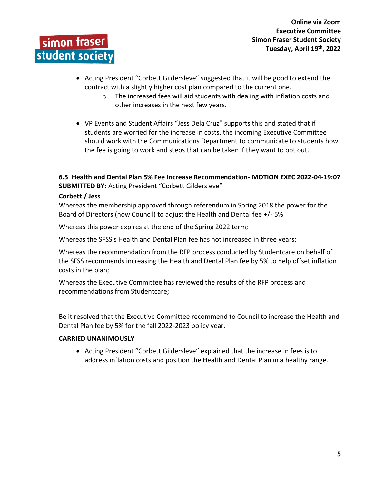

- Acting President "Corbett Gildersleve" suggested that it will be good to extend the contract with a slightly higher cost plan compared to the current one.
	- o The increased fees will aid students with dealing with inflation costs and other increases in the next few years.
- VP Events and Student Affairs "Jess Dela Cruz" supports this and stated that if students are worried for the increase in costs, the incoming Executive Committee should work with the Communications Department to communicate to students how the fee is going to work and steps that can be taken if they want to opt out.

**6.5 Health and Dental Plan 5% Fee Increase Recommendation- MOTION EXEC 2022-04-19:07 SUBMITTED BY:** Acting President "Corbett Gildersleve"

#### **Corbett / Jess**

Whereas the membership approved through referendum in Spring 2018 the power for the Board of Directors (now Council) to adjust the Health and Dental fee +/- 5%

Whereas this power expires at the end of the Spring 2022 term;

Whereas the SFSS's Health and Dental Plan fee has not increased in three years;

Whereas the recommendation from the RFP process conducted by Studentcare on behalf of the SFSS recommends increasing the Health and Dental Plan fee by 5% to help offset inflation costs in the plan;

Whereas the Executive Committee has reviewed the results of the RFP process and recommendations from Studentcare;

Be it resolved that the Executive Committee recommend to Council to increase the Health and Dental Plan fee by 5% for the fall 2022-2023 policy year.

#### **CARRIED UNANIMOUSLY**

• Acting President "Corbett Gildersleve" explained that the increase in fees is to address inflation costs and position the Health and Dental Plan in a healthy range.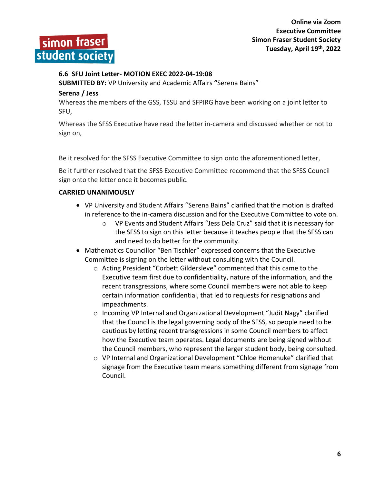

#### **6.6 SFU Joint Letter- MOTION EXEC 2022-04-19:08**

**SUBMITTED BY:** VP University and Academic Affairs **"**Serena Bains"

#### **Serena / Jess**

Whereas the members of the GSS, TSSU and SFPIRG have been working on a joint letter to SFU,

Whereas the SFSS Executive have read the letter in-camera and discussed whether or not to sign on,

Be it resolved for the SFSS Executive Committee to sign onto the aforementioned letter,

Be it further resolved that the SFSS Executive Committee recommend that the SFSS Council sign onto the letter once it becomes public.

#### **CARRIED UNANIMOUSLY**

- VP University and Student Affairs "Serena Bains" clarified that the motion is drafted in reference to the in-camera discussion and for the Executive Committee to vote on.
	- o VP Events and Student Affairs "Jess Dela Cruz" said that it is necessary for the SFSS to sign on this letter because it teaches people that the SFSS can and need to do better for the community.
- Mathematics Councillor "Ben Tischler" expressed concerns that the Executive Committee is signing on the letter without consulting with the Council.
	- o Acting President "Corbett Gildersleve" commented that this came to the Executive team first due to confidentiality, nature of the information, and the recent transgressions, where some Council members were not able to keep certain information confidential, that led to requests for resignations and impeachments.
	- $\circ$  Incoming VP Internal and Organizational Development "Judit Nagy" clarified that the Council is the legal governing body of the SFSS, so people need to be cautious by letting recent transgressions in some Council members to affect how the Executive team operates. Legal documents are being signed without the Council members, who represent the larger student body, being consulted.
	- o VP Internal and Organizational Development "Chloe Homenuke" clarified that signage from the Executive team means something different from signage from Council.